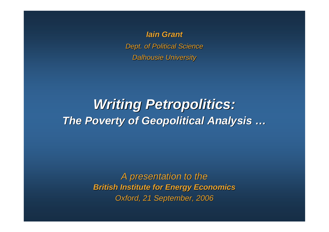*Iain Grant Dept. of Political Science Dalhousie University*

### *Writing Petropolitics: The Poverty of Geopolitical Analysis …*

*A presentation to the British Institute for Energy Economics Oxford, 21 September, 2006*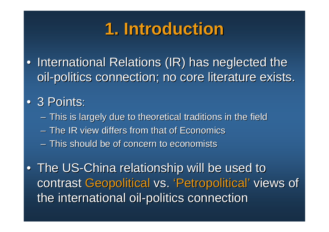# **1. Introduction**

• International Relations (IR) has neglected the oil-politics connection; no core literature exists.

### • 3 Points:

- This is largely due to theoretical traditions in the field
- The IR view differs from that of Economics
- This should be of concern to economists

• The US-China relationship will be used to contrast Geopolitical vs. 'Petropolitical' views of the international oil-politics connection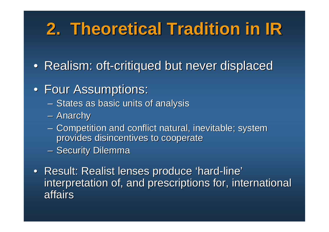# **2. Theoretical Tradition in IR**

• Realism: oft-critiqued but never displaced

### • Four Assumptions:

- States as basic units of analysis
- Anarchy
- Competition and conflict natural, inevitable; system provides disincentives to cooperate
- Security Dilemma
- Result: Realist lenses produce 'hard-line' interpretation of, and prescriptions for, international affairs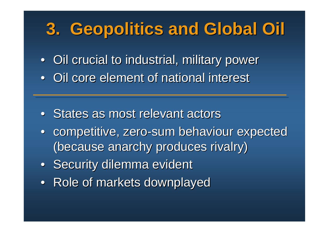# **3. Geopolitics and Global Oil**

• Oil crucial to industrial, military power

• Oil core element of national interest

- States as most relevant actors
- competitive, zero-sum behaviour expected (because anarchy produces rivalry)
- Security dilemma evident
- Role of markets downplayed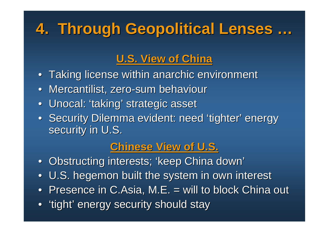# **4. Through Geopolitical Lenses …**

#### **U.S. View of China**

- Taking license within anarchic environment
- Mercantilist, zero-sum behaviour
- Unocal: 'taking' strategic asset
- Security Dilemma evident: need 'tighter' energy security in U.S.

#### **Chinese View of U.S.**

- Obstructing interests; 'keep China down'
- U.S. hegemon built the system in own interest
- Presence in C.Asia, M.E. = will to block China out
- 'tight' energy security should stay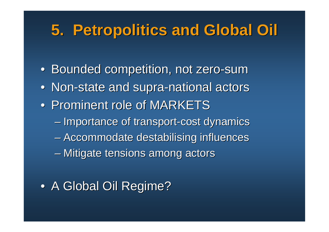## **5. Petropolitics and Global Oil**

- Bounded competition, not zero-sum
- Non-state and supra-national actors
- Prominent role of MARKETS
	- Importance of transport-cost dynamics
	- Accommodate destabilising influences
	- Mitigate tensions among actors
- A Global Oil Regime?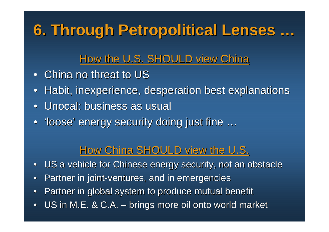## **6. Through Petropolitical Lenses …**

#### How the U.S. SHOULD view China

- China no threat to US
- Habit, inexperience, desperation best explanations
- Unocal: business as usual
- 'loose' energy security doing just fine ...

#### How China SHOULD view the U.S.

- US a vehicle for Chinese energy security, not an obstacle
- Partner in joint-ventures, and in emergencies
- Partner in global system to produce mutual benefit
- US in M.E. & C.A. brings more oil onto world market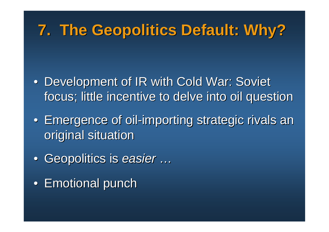## **7. The Geopolitics Default: Why?**

- Development of IR with Cold War: Soviet focus; little incentive to delve into oil question
- Emergence of oil-importing strategic rivals an original situation
- Geopolitics is *easier* …
- Emotional punch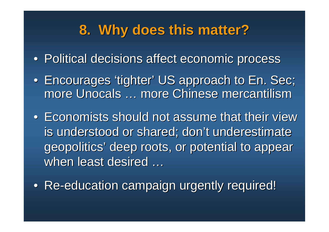### **8. Why does this matter?**

- Political decisions affect economic process
- Encourages 'tighter' US approach to En. Sec; more Unocals … more Chinese mercantilism
- Economists should not assume that their view is understood or shared; don't underestimate geopolitics' deep roots, or potential to appear when least desired ...
- Re-education campaign urgently required!